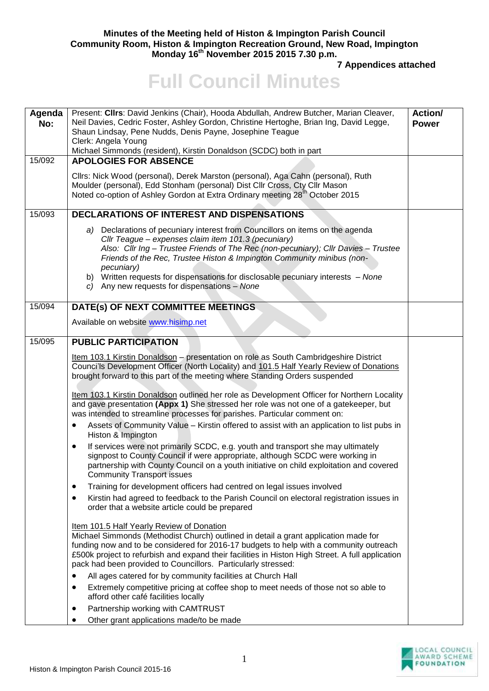## **Minutes of the Meeting held of Histon & Impington Parish Council Community Room, Histon & Impington Recreation Ground, New Road, Impington Monday 16th November 2015 2015 7.30 p.m.**

**7 Appendices attached** 

## **Full Council Minutes**

| Agenda<br>No:<br>15/092 | Present: Cllrs: David Jenkins (Chair), Hooda Abdullah, Andrew Butcher, Marian Cleaver,<br>Neil Davies, Cedric Foster, Ashley Gordon, Christine Hertoghe, Brian Ing, David Legge,<br>Shaun Lindsay, Pene Nudds, Denis Payne, Josephine Teague<br>Clerk: Angela Young<br>Michael Simmonds (resident), Kirstin Donaldson (SCDC) both in part<br><b>APOLOGIES FOR ABSENCE</b>                                                                               | <b>Action/</b><br><b>Power</b> |
|-------------------------|---------------------------------------------------------------------------------------------------------------------------------------------------------------------------------------------------------------------------------------------------------------------------------------------------------------------------------------------------------------------------------------------------------------------------------------------------------|--------------------------------|
|                         | Cllrs: Nick Wood (personal), Derek Marston (personal), Aga Cahn (personal), Ruth<br>Moulder (personal), Edd Stonham (personal) Dist Cllr Cross, Cty Cllr Mason<br>Noted co-option of Ashley Gordon at Extra Ordinary meeting 28 <sup>th</sup> October 2015                                                                                                                                                                                              |                                |
| 15/093                  | <b>DECLARATIONS OF INTEREST AND DISPENSATIONS</b>                                                                                                                                                                                                                                                                                                                                                                                                       |                                |
|                         | a) Declarations of pecuniary interest from Councillors on items on the agenda<br>Cllr Teague - expenses claim item 101.3 (pecuniary)<br>Also: Cllr Ing - Trustee Friends of The Rec (non-pecuniary); Cllr Davies - Trustee<br>Friends of the Rec, Trustee Histon & Impington Community minibus (non-<br>pecuniary)<br>b) Written requests for dispensations for disclosable pecuniary interests - None<br>c) Any new requests for dispensations - None  |                                |
| 15/094                  | DATE(s) OF NEXT COMMITTEE MEETINGS                                                                                                                                                                                                                                                                                                                                                                                                                      |                                |
|                         | Available on website www.hisimp.net                                                                                                                                                                                                                                                                                                                                                                                                                     |                                |
| 15/095                  | <b>PUBLIC PARTICIPATION</b>                                                                                                                                                                                                                                                                                                                                                                                                                             |                                |
|                         | Item 103.1 Kirstin Donaldson - presentation on role as South Cambridgeshire District<br>Counci'ls Development Officer (North Locality) and 101.5 Half Yearly Review of Donations<br>brought forward to this part of the meeting where Standing Orders suspended<br>Item 103.1 Kirstin Donaldson outlined her role as Development Officer for Northern Locality<br>and gave presentation (Appx 1) She stressed her role was not one of a gatekeeper, but |                                |
|                         | was intended to streamline processes for parishes. Particular comment on:                                                                                                                                                                                                                                                                                                                                                                               |                                |
|                         | Assets of Community Value - Kirstin offered to assist with an application to list pubs in<br>Histon & Impington                                                                                                                                                                                                                                                                                                                                         |                                |
|                         | If services were not primarily SCDC, e.g. youth and transport she may ultimately<br>٠<br>signpost to County Council if were appropriate, although SCDC were working in<br>partnership with County Council on a youth initiative on child exploitation and covered<br><b>Community Transport issues</b>                                                                                                                                                  |                                |
|                         | Training for development officers had centred on legal issues involved<br>$\bullet$                                                                                                                                                                                                                                                                                                                                                                     |                                |
|                         | Kirstin had agreed to feedback to the Parish Council on electoral registration issues in<br>٠<br>order that a website article could be prepared                                                                                                                                                                                                                                                                                                         |                                |
|                         | Item 101.5 Half Yearly Review of Donation<br>Michael Simmonds (Methodist Church) outlined in detail a grant application made for<br>funding now and to be considered for 2016-17 budgets to help with a community outreach<br>£500k project to refurbish and expand their facilities in Histon High Street. A full application<br>pack had been provided to Councillors. Particularly stressed:                                                         |                                |
|                         | All ages catered for by community facilities at Church Hall                                                                                                                                                                                                                                                                                                                                                                                             |                                |
|                         | Extremely competitive pricing at coffee shop to meet needs of those not so able to<br>$\bullet$<br>afford other café facilities locally                                                                                                                                                                                                                                                                                                                 |                                |
|                         | Partnership working with CAMTRUST                                                                                                                                                                                                                                                                                                                                                                                                                       |                                |
|                         | Other grant applications made/to be made                                                                                                                                                                                                                                                                                                                                                                                                                |                                |

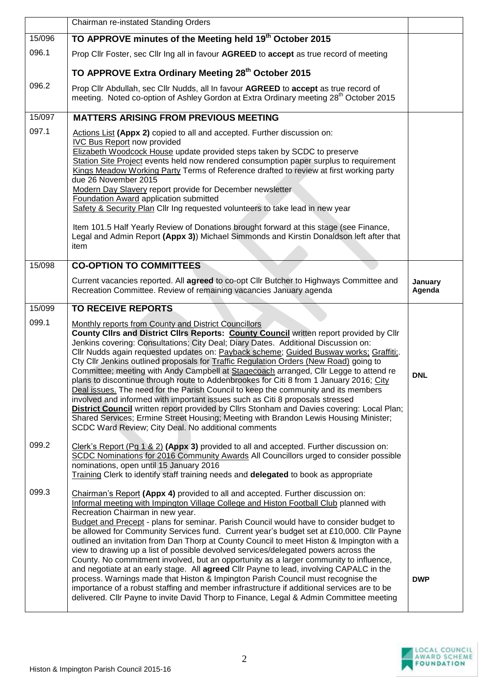|        | Chairman re-instated Standing Orders                                                                                                                                                                                                                                                                                                                                                                                                                                                                                                                                                                                                                                                                                                                                                                                                                                                                                                                                                                                                                      |                   |
|--------|-----------------------------------------------------------------------------------------------------------------------------------------------------------------------------------------------------------------------------------------------------------------------------------------------------------------------------------------------------------------------------------------------------------------------------------------------------------------------------------------------------------------------------------------------------------------------------------------------------------------------------------------------------------------------------------------------------------------------------------------------------------------------------------------------------------------------------------------------------------------------------------------------------------------------------------------------------------------------------------------------------------------------------------------------------------|-------------------|
| 15/096 | TO APPROVE minutes of the Meeting held 19 <sup>th</sup> October 2015                                                                                                                                                                                                                                                                                                                                                                                                                                                                                                                                                                                                                                                                                                                                                                                                                                                                                                                                                                                      |                   |
| 096.1  | Prop Cllr Foster, sec Cllr Ing all in favour AGREED to accept as true record of meeting                                                                                                                                                                                                                                                                                                                                                                                                                                                                                                                                                                                                                                                                                                                                                                                                                                                                                                                                                                   |                   |
|        | TO APPROVE Extra Ordinary Meeting 28th October 2015                                                                                                                                                                                                                                                                                                                                                                                                                                                                                                                                                                                                                                                                                                                                                                                                                                                                                                                                                                                                       |                   |
| 096.2  | Prop Cllr Abdullah, sec Cllr Nudds, all In favour AGREED to accept as true record of<br>meeting. Noted co-option of Ashley Gordon at Extra Ordinary meeting 28 <sup>th</sup> October 2015                                                                                                                                                                                                                                                                                                                                                                                                                                                                                                                                                                                                                                                                                                                                                                                                                                                                 |                   |
| 15/097 | <b>MATTERS ARISING FROM PREVIOUS MEETING</b>                                                                                                                                                                                                                                                                                                                                                                                                                                                                                                                                                                                                                                                                                                                                                                                                                                                                                                                                                                                                              |                   |
| 097.1  | Actions List (Appx 2) copied to all and accepted. Further discussion on:<br><b>IVC Bus Report now provided</b><br>Elizabeth Woodcock House update provided steps taken by SCDC to preserve<br>Station Site Project events held now rendered consumption paper surplus to requirement<br>Kings Meadow Working Party Terms of Reference drafted to review at first working party<br>due 26 November 2015<br>Modern Day Slavery report provide for December newsletter<br>Foundation Award application submitted<br>Safety & Security Plan Cllr Ing requested volunteers to take lead in new year<br>Item 101.5 Half Yearly Review of Donations brought forward at this stage (see Finance,<br>Legal and Admin Report (Appx 3)) Michael Simmonds and Kirstin Donaldson left after that                                                                                                                                                                                                                                                                       |                   |
|        | item                                                                                                                                                                                                                                                                                                                                                                                                                                                                                                                                                                                                                                                                                                                                                                                                                                                                                                                                                                                                                                                      |                   |
| 15/098 | <b>CO-OPTION TO COMMITTEES</b>                                                                                                                                                                                                                                                                                                                                                                                                                                                                                                                                                                                                                                                                                                                                                                                                                                                                                                                                                                                                                            |                   |
|        | Current vacancies reported. All agreed to co-opt Cllr Butcher to Highways Committee and<br>Recreation Committee. Review of remaining vacancies January agenda                                                                                                                                                                                                                                                                                                                                                                                                                                                                                                                                                                                                                                                                                                                                                                                                                                                                                             | January<br>Agenda |
| 15/099 | <b>TO RECEIVE REPORTS</b>                                                                                                                                                                                                                                                                                                                                                                                                                                                                                                                                                                                                                                                                                                                                                                                                                                                                                                                                                                                                                                 |                   |
| 099.1  | Monthly reports from County and District Councillors<br>County Clirs and District Clirs Reports: County Council written report provided by Clir<br>Jenkins covering: Consultations; City Deal; Diary Dates. Additional Discussion on:<br>Cllr Nudds again requested updates on: Payback scheme; Guided Busway works; Graffiti;.<br>Cty Cllr Jenkins outlined proposals for Traffic Regulation Orders (New Road) going to<br>Committee; meeting with Andy Campbell at Stagecoach arranged, Cllr Legge to attend re<br>plans to discontinue through route to Addenbrookes for Citi 8 from 1 January 2016; City<br>Deal issues. The need for the Parish Council to keep the community and its members<br>involved and informed with important issues such as Citi 8 proposals stressed<br>District Council written report provided by Cllrs Stonham and Davies covering: Local Plan;<br>Shared Services; Ermine Street Housing; Meeting with Brandon Lewis Housing Minister;<br>SCDC Ward Review; City Deal. No additional comments                          | <b>DNL</b>        |
| 099.2  | Clerk's Report (Pg 1 & 2) (Appx 3) provided to all and accepted. Further discussion on:<br>SCDC Nominations for 2016 Community Awards All Councillors urged to consider possible<br>nominations, open until 15 January 2016<br>Training Clerk to identify staff training needs and delegated to book as appropriate                                                                                                                                                                                                                                                                                                                                                                                                                                                                                                                                                                                                                                                                                                                                       |                   |
| 099.3  | Chairman's Report (Appx 4) provided to all and accepted. Further discussion on:<br>Informal meeting with Impington Village College and Histon Football Club planned with<br>Recreation Chairman in new year.<br>Budget and Precept - plans for seminar. Parish Council would have to consider budget to<br>be allowed for Community Services fund. Current year's budget set at £10,000. Cllr Payne<br>outlined an invitation from Dan Thorp at County Council to meet Histon & Impington with a<br>view to drawing up a list of possible devolved services/delegated powers across the<br>County. No commitment involved, but an opportunity as a larger community to influence,<br>and negotiate at an early stage. All agreed Cllr Payne to lead, involving CAPALC in the<br>process. Warnings made that Histon & Impington Parish Council must recognise the<br>importance of a robust staffing and member infrastructure if additional services are to be<br>delivered. Cllr Payne to invite David Thorp to Finance, Legal & Admin Committee meeting | <b>DWP</b>        |

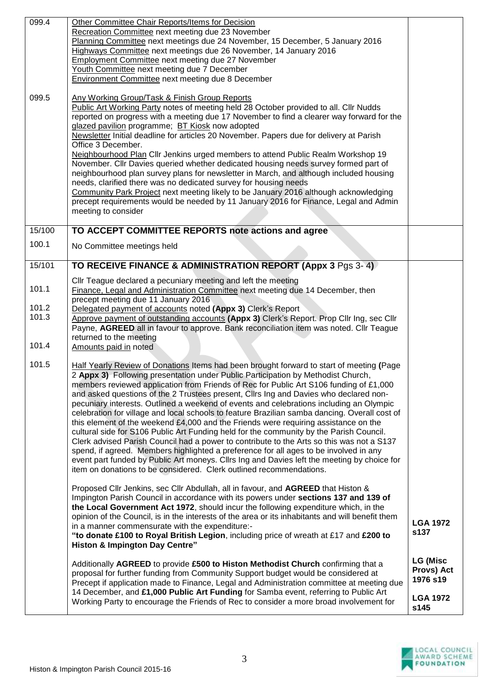| 099.4<br>099.5  | Other Committee Chair Reports/Items for Decision<br>Recreation Committee next meeting due 23 November<br>Planning Committee next meetings due 24 November, 15 December, 5 January 2016<br>Highways Committee next meetings due 26 November, 14 January 2016<br><b>Employment Committee next meeting due 27 November</b><br>Youth Committee next meeting due 7 December<br><b>Environment Committee next meeting due 8 December</b><br>Any Working Group/Task & Finish Group Reports<br>Public Art Working Party notes of meeting held 28 October provided to all. Cllr Nudds<br>reported on progress with a meeting due 17 November to find a clearer way forward for the<br>glazed pavilion programme; BT Kiosk now adopted<br>Newsletter Initial deadline for articles 20 November. Papers due for delivery at Parish<br>Office 3 December.<br>Neighbourhood Plan Cllr Jenkins urged members to attend Public Realm Workshop 19<br>November. Cllr Davies queried whether dedicated housing needs survey formed part of                                                                                  |                                           |
|-----------------|-----------------------------------------------------------------------------------------------------------------------------------------------------------------------------------------------------------------------------------------------------------------------------------------------------------------------------------------------------------------------------------------------------------------------------------------------------------------------------------------------------------------------------------------------------------------------------------------------------------------------------------------------------------------------------------------------------------------------------------------------------------------------------------------------------------------------------------------------------------------------------------------------------------------------------------------------------------------------------------------------------------------------------------------------------------------------------------------------------------|-------------------------------------------|
|                 | neighbourhood plan survey plans for newsletter in March, and although included housing<br>needs, clarified there was no dedicated survey for housing needs<br>Community Park Project next meeting likely to be January 2016 although acknowledging<br>precept requirements would be needed by 11 January 2016 for Finance, Legal and Admin<br>meeting to consider                                                                                                                                                                                                                                                                                                                                                                                                                                                                                                                                                                                                                                                                                                                                         |                                           |
| 15/100<br>100.1 | TO ACCEPT COMMITTEE REPORTS note actions and agree                                                                                                                                                                                                                                                                                                                                                                                                                                                                                                                                                                                                                                                                                                                                                                                                                                                                                                                                                                                                                                                        |                                           |
|                 | No Committee meetings held                                                                                                                                                                                                                                                                                                                                                                                                                                                                                                                                                                                                                                                                                                                                                                                                                                                                                                                                                                                                                                                                                |                                           |
| 15/101          | TO RECEIVE FINANCE & ADMINISTRATION REPORT (Appx 3 Pgs 3-4)<br>Cllr Teague declared a pecuniary meeting and left the meeting                                                                                                                                                                                                                                                                                                                                                                                                                                                                                                                                                                                                                                                                                                                                                                                                                                                                                                                                                                              |                                           |
| 101.1           | Finance, Legal and Administration Committee next meeting due 14 December, then                                                                                                                                                                                                                                                                                                                                                                                                                                                                                                                                                                                                                                                                                                                                                                                                                                                                                                                                                                                                                            |                                           |
| 101.2<br>101.3  | precept meeting due 11 January 2016<br>Delegated payment of accounts noted (Appx 3) Clerk's Report<br>Approve payment of outstanding accounts (Appx 3) Clerk's Report. Prop Cllr Ing, sec Cllr<br>Payne, AGREED all in favour to approve. Bank reconciliation item was noted. Cllr Teague<br>returned to the meeting                                                                                                                                                                                                                                                                                                                                                                                                                                                                                                                                                                                                                                                                                                                                                                                      |                                           |
| 101.4           | Amounts paid in noted                                                                                                                                                                                                                                                                                                                                                                                                                                                                                                                                                                                                                                                                                                                                                                                                                                                                                                                                                                                                                                                                                     |                                           |
| 101.5           | Half Yearly Review of Donations Items had been brought forward to start of meeting (Page<br>2 Appx 3) Following presentation under Public Participation by Methodist Church,<br>members reviewed application from Friends of Rec for Public Art S106 funding of £1,000<br>and asked questions of the 2 Trustees present, Clirs Ing and Davies who declared non-<br>pecuniary interests. Outlined a weekend of events and celebrations including an Olympic<br>celebration for village and local schools to feature Brazilian samba dancing. Overall cost of<br>this element of the weekend £4,000 and the Friends were requiring assistance on the<br>cultural side for S106 Public Art Funding held for the community by the Parish Council.<br>Clerk advised Parish Council had a power to contribute to the Arts so this was not a S137<br>spend, if agreed. Members highlighted a preference for all ages to be involved in any<br>event part funded by Public Art moneys. Cllrs Ing and Davies left the meeting by choice for<br>item on donations to be considered. Clerk outlined recommendations. |                                           |
|                 | Proposed Cllr Jenkins, sec Cllr Abdullah, all in favour, and AGREED that Histon &<br>Impington Parish Council in accordance with its powers under sections 137 and 139 of<br>the Local Government Act 1972, should incur the following expenditure which, in the<br>opinion of the Council, is in the interests of the area or its inhabitants and will benefit them<br>in a manner commensurate with the expenditure:-<br>"to donate £100 to Royal British Legion, including price of wreath at £17 and £200 to<br><b>Histon &amp; Impington Day Centre"</b>                                                                                                                                                                                                                                                                                                                                                                                                                                                                                                                                             | <b>LGA 1972</b><br>s137                   |
|                 | Additionally AGREED to provide £500 to Histon Methodist Church confirming that a<br>proposal for further funding from Community Support budget would be considered at<br>Precept if application made to Finance, Legal and Administration committee at meeting due<br>14 December, and £1,000 Public Art Funding for Samba event, referring to Public Art                                                                                                                                                                                                                                                                                                                                                                                                                                                                                                                                                                                                                                                                                                                                                 | <b>LG (Misc</b><br>Provs) Act<br>1976 s19 |
|                 | Working Party to encourage the Friends of Rec to consider a more broad involvement for                                                                                                                                                                                                                                                                                                                                                                                                                                                                                                                                                                                                                                                                                                                                                                                                                                                                                                                                                                                                                    | <b>LGA 1972</b><br>s145                   |

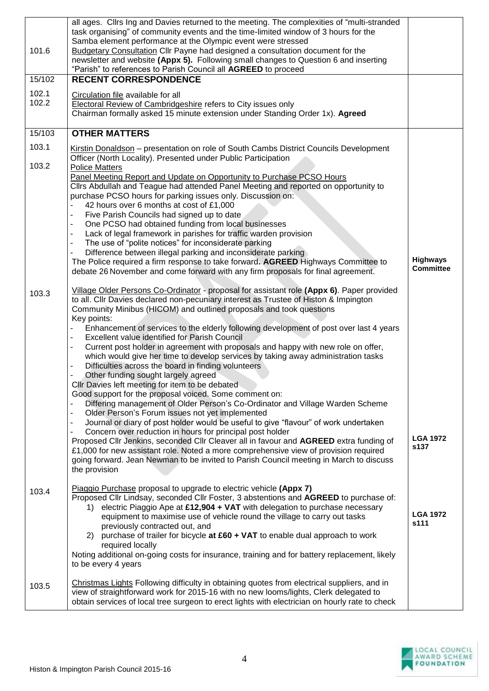| 101.6          | all ages. Clirs Ing and Davies returned to the meeting. The complexities of "multi-stranded<br>task organising" of community events and the time-limited window of 3 hours for the<br>Samba element performance at the Olympic event were stressed<br>Budgetary Consultation Cllr Payne had designed a consultation document for the<br>newsletter and website (Appx 5). Following small changes to Question 6 and inserting<br>"Parish" to references to Parish Council all AGREED to proceed                                                                                                                                                                                                                                                                                                                                                                                                                                                                                                                                                                                                                                                                                                                                                                                                                                                                                                                                                                                                                            |                                     |
|----------------|---------------------------------------------------------------------------------------------------------------------------------------------------------------------------------------------------------------------------------------------------------------------------------------------------------------------------------------------------------------------------------------------------------------------------------------------------------------------------------------------------------------------------------------------------------------------------------------------------------------------------------------------------------------------------------------------------------------------------------------------------------------------------------------------------------------------------------------------------------------------------------------------------------------------------------------------------------------------------------------------------------------------------------------------------------------------------------------------------------------------------------------------------------------------------------------------------------------------------------------------------------------------------------------------------------------------------------------------------------------------------------------------------------------------------------------------------------------------------------------------------------------------------|-------------------------------------|
| 15/102         | <b>RECENT CORRESPONDENCE</b>                                                                                                                                                                                                                                                                                                                                                                                                                                                                                                                                                                                                                                                                                                                                                                                                                                                                                                                                                                                                                                                                                                                                                                                                                                                                                                                                                                                                                                                                                              |                                     |
| 102.1<br>102.2 | Circulation file available for all<br><b>Electoral Review of Cambridgeshire refers to City issues only</b><br>Chairman formally asked 15 minute extension under Standing Order 1x). Agreed                                                                                                                                                                                                                                                                                                                                                                                                                                                                                                                                                                                                                                                                                                                                                                                                                                                                                                                                                                                                                                                                                                                                                                                                                                                                                                                                |                                     |
| 15/103         | <b>OTHER MATTERS</b>                                                                                                                                                                                                                                                                                                                                                                                                                                                                                                                                                                                                                                                                                                                                                                                                                                                                                                                                                                                                                                                                                                                                                                                                                                                                                                                                                                                                                                                                                                      |                                     |
| 103.1<br>103.2 | Kirstin Donaldson - presentation on role of South Cambs District Councils Development<br>Officer (North Locality). Presented under Public Participation                                                                                                                                                                                                                                                                                                                                                                                                                                                                                                                                                                                                                                                                                                                                                                                                                                                                                                                                                                                                                                                                                                                                                                                                                                                                                                                                                                   |                                     |
|                | <b>Police Matters</b><br>Panel Meeting Report and Update on Opportunity to Purchase PCSO Hours<br>Cllrs Abdullah and Teague had attended Panel Meeting and reported on opportunity to<br>purchase PCSO hours for parking issues only. Discussion on:<br>42 hours over 6 months at cost of £1,000<br>$\overline{a}$<br>Five Parish Councils had signed up to date<br>$\overline{\phantom{a}}$<br>One PCSO had obtained funding from local businesses<br>$\blacksquare$<br>Lack of legal framework in parishes for traffic warden provision<br>$\blacksquare$<br>The use of "polite notices" for inconsiderate parking<br>$\blacksquare$<br>Difference between illegal parking and inconsiderate parking<br>$\blacksquare$<br>The Police required a firm response to take forward. AGREED Highways Committee to<br>debate 26 November and come forward with any firm proposals for final agreement.                                                                                                                                                                                                                                                                                                                                                                                                                                                                                                                                                                                                                         | <b>Highways</b><br><b>Committee</b> |
| 103.3          | Village Older Persons Co-Ordinator - proposal for assistant role (Appx 6). Paper provided<br>to all. Cllr Davies declared non-pecuniary interest as Trustee of Histon & Impington<br>Community Minibus (HICOM) and outlined proposals and took questions<br>Key points:<br>Enhancement of services to the elderly following development of post over last 4 years<br>Excellent value identified for Parish Council<br>$\overline{\phantom{a}}$<br>Current post holder in agreement with proposals and happy with new role on offer,<br>$\blacksquare$<br>which would give her time to develop services by taking away administration tasks<br>Difficulties across the board in finding volunteers<br>$\blacksquare$<br>Other funding sought largely agreed<br>Cllr Davies left meeting for item to be debated<br>Good support for the proposal voiced. Some comment on:<br>Differing management of Older Person's Co-Ordinator and Village Warden Scheme<br>Older Person's Forum issues not yet implemented<br>$\qquad \qquad \blacksquare$<br>Journal or diary of post holder would be useful to give "flavour" of work undertaken<br>$\overline{\phantom{a}}$<br>Concern over reduction in hours for principal post holder<br>Proposed Cllr Jenkins, seconded Cllr Cleaver all in favour and AGREED extra funding of<br>£1,000 for new assistant role. Noted a more comprehensive view of provision required<br>going forward. Jean Newman to be invited to Parish Council meeting in March to discuss<br>the provision | <b>LGA 1972</b><br>s137             |
| 103.4          | Piaggio Purchase proposal to upgrade to electric vehicle (Appx 7)<br>Proposed Cllr Lindsay, seconded Cllr Foster, 3 abstentions and AGREED to purchase of:<br>1) electric Piaggio Ape at £12,904 + VAT with delegation to purchase necessary<br>equipment to maximise use of vehicle round the village to carry out tasks<br>previously contracted out, and<br>2) purchase of trailer for bicycle at £60 + VAT to enable dual approach to work<br>required locally<br>Noting additional on-going costs for insurance, training and for battery replacement, likely<br>to be every 4 years                                                                                                                                                                                                                                                                                                                                                                                                                                                                                                                                                                                                                                                                                                                                                                                                                                                                                                                                 | <b>LGA 1972</b><br>s111             |
| 103.5          | Christmas Lights Following difficulty in obtaining quotes from electrical suppliers, and in<br>view of straightforward work for 2015-16 with no new looms/lights, Clerk delegated to<br>obtain services of local tree surgeon to erect lights with electrician on hourly rate to check                                                                                                                                                                                                                                                                                                                                                                                                                                                                                                                                                                                                                                                                                                                                                                                                                                                                                                                                                                                                                                                                                                                                                                                                                                    |                                     |